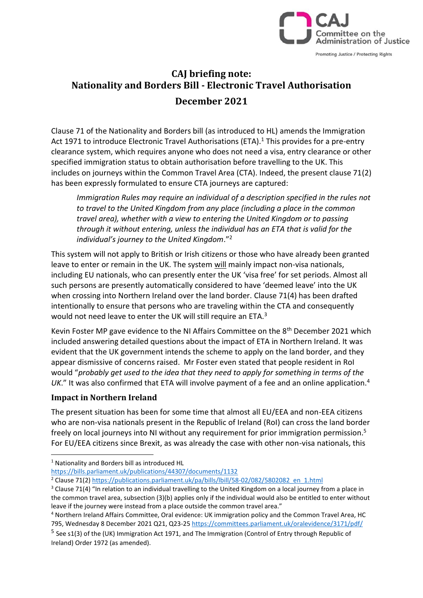

# **CAJ briefing note: Nationality and Borders Bill - Electronic Travel Authorisation December 2021**

Clause 71 of the Nationality and Borders bill (as introduced to HL) amends the Immigration Act 1971 to introduce Electronic Travel Authorisations (ETA).<sup>1</sup> This provides for a pre-entry clearance system, which requires anyone who does not need a visa, entry clearance or other specified immigration status to obtain authorisation before travelling to the UK. This includes on journeys within the Common Travel Area (CTA). Indeed, the present clause 71(2) has been expressly formulated to ensure CTA journeys are captured:

*Immigration Rules may require an individual of a description specified in the rules not to travel to the United Kingdom from any place (including a place in the common travel area), whether with a view to entering the United Kingdom or to passing through it without entering, unless the individual has an ETA that is valid for the individual's journey to the United Kingdom*."<sup>2</sup>

This system will not apply to British or Irish citizens or those who have already been granted leave to enter or remain in the UK. The system will mainly impact non-visa nationals, including EU nationals, who can presently enter the UK 'visa free' for set periods. Almost all such persons are presently automatically considered to have 'deemed leave' into the UK when crossing into Northern Ireland over the land border. Clause 71(4) has been drafted intentionally to ensure that persons who are traveling within the CTA and consequently would not need leave to enter the UK will still require an ETA.<sup>3</sup>

Kevin Foster MP gave evidence to the NI Affairs Committee on the 8<sup>th</sup> December 2021 which included answering detailed questions about the impact of ETA in Northern Ireland. It was evident that the UK government intends the scheme to apply on the land border, and they appear dismissive of concerns raised. Mr Foster even stated that people resident in RoI would "*probably get used to the idea that they need to apply for something in terms of the UK*." It was also confirmed that ETA will involve payment of a fee and an online application.<sup>4</sup>

#### **Impact in Northern Ireland**

The present situation has been for some time that almost all EU/EEA and non-EEA citizens who are non-visa nationals present in the Republic of Ireland (RoI) can cross the land border freely on local journeys into NI without any requirement for prior immigration permission.<sup>5</sup> For EU/EEA citizens since Brexit, as was already the case with other non-visa nationals, this

<https://bills.parliament.uk/publications/44307/documents/1132>

<sup>1</sup> Nationality and Borders bill as introduced HL

<sup>&</sup>lt;sup>2</sup> Clause 71(2) [https://publications.parliament.uk/pa/bills/lbill/58-02/082/5802082\\_en\\_1.html](https://publications.parliament.uk/pa/bills/lbill/58-02/082/5802082_en_1.html)

 $3$  Clause 71(4) "In relation to an individual travelling to the United Kingdom on a local journey from a place in the common travel area, subsection (3)(b) applies only if the individual would also be entitled to enter without leave if the journey were instead from a place outside the common travel area."

<sup>4</sup> Northern Ireland Affairs Committee, Oral evidence: UK immigration policy and the Common Travel Area, HC 795, Wednesday 8 December 2021 Q21, Q23-25<https://committees.parliament.uk/oralevidence/3171/pdf/>

<sup>&</sup>lt;sup>5</sup> See s1(3) of the (UK) Immigration Act 1971, and The Immigration (Control of Entry through Republic of Ireland) Order 1972 (as amended).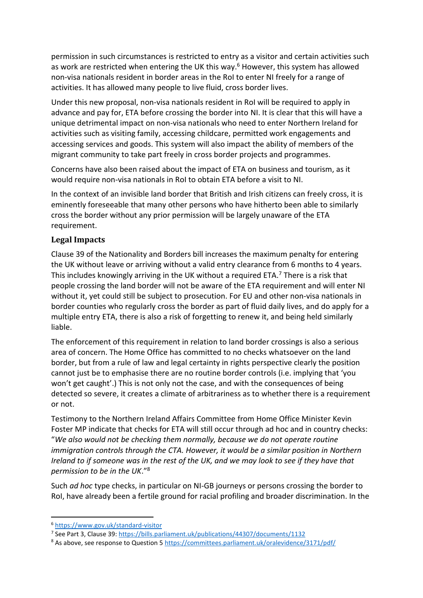permission in such circumstances is restricted to entry as a visitor and certain activities such as work are restricted when entering the UK this way.<sup>6</sup> However, this system has allowed non-visa nationals resident in border areas in the RoI to enter NI freely for a range of activities. It has allowed many people to live fluid, cross border lives.

Under this new proposal, non-visa nationals resident in RoI will be required to apply in advance and pay for, ETA before crossing the border into NI. It is clear that this will have a unique detrimental impact on non-visa nationals who need to enter Northern Ireland for activities such as visiting family, accessing childcare, permitted work engagements and accessing services and goods. This system will also impact the ability of members of the migrant community to take part freely in cross border projects and programmes.

Concerns have also been raised about the impact of ETA on business and tourism, as it would require non-visa nationals in RoI to obtain ETA before a visit to NI.

In the context of an invisible land border that British and Irish citizens can freely cross, it is eminently foreseeable that many other persons who have hitherto been able to similarly cross the border without any prior permission will be largely unaware of the ETA requirement.

## **Legal Impacts**

Clause 39 of the Nationality and Borders bill increases the maximum penalty for entering the UK without leave or arriving without a valid entry clearance from 6 months to 4 years. This includes knowingly arriving in the UK without a required ETA.<sup>7</sup> There is a risk that people crossing the land border will not be aware of the ETA requirement and will enter NI without it, yet could still be subject to prosecution. For EU and other non-visa nationals in border counties who regularly cross the border as part of fluid daily lives, and do apply for a multiple entry ETA, there is also a risk of forgetting to renew it, and being held similarly liable.

The enforcement of this requirement in relation to land border crossings is also a serious area of concern. The Home Office has committed to no checks whatsoever on the land border, but from a rule of law and legal certainty in rights perspective clearly the position cannot just be to emphasise there are no routine border controls (i.e. implying that 'you won't get caught'.) This is not only not the case, and with the consequences of being detected so severe, it creates a climate of arbitrariness as to whether there is a requirement or not.

Testimony to the Northern Ireland Affairs Committee from Home Office Minister Kevin Foster MP indicate that checks for ETA will still occur through ad hoc and in country checks: "*We also would not be checking them normally, because we do not operate routine immigration controls through the CTA. However, it would be a similar position in Northern Ireland to if someone was in the rest of the UK, and we may look to see if they have that permission to be in the UK*."<sup>8</sup>

Such *ad hoc* type checks, in particular on NI-GB journeys or persons crossing the border to RoI, have already been a fertile ground for racial profiling and broader discrimination. In the

<sup>6</sup> <https://www.gov.uk/standard-visitor>

<sup>&</sup>lt;sup>7</sup> See Part 3, Clause 39:<https://bills.parliament.uk/publications/44307/documents/1132>

<sup>&</sup>lt;sup>8</sup> As above, see response to Question 5<https://committees.parliament.uk/oralevidence/3171/pdf/>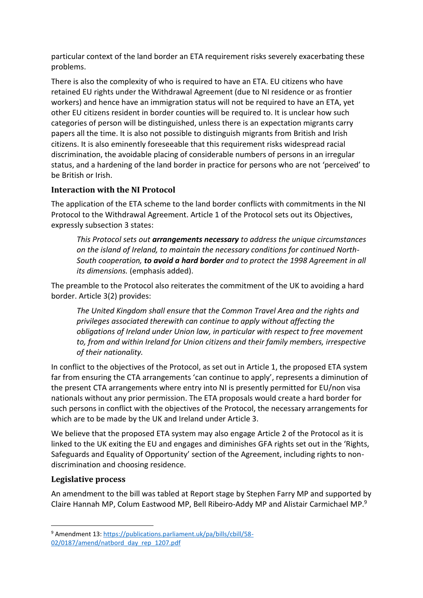particular context of the land border an ETA requirement risks severely exacerbating these problems.

There is also the complexity of who is required to have an ETA. EU citizens who have retained EU rights under the Withdrawal Agreement (due to NI residence or as frontier workers) and hence have an immigration status will not be required to have an ETA, yet other EU citizens resident in border counties will be required to. It is unclear how such categories of person will be distinguished, unless there is an expectation migrants carry papers all the time. It is also not possible to distinguish migrants from British and Irish citizens. It is also eminently foreseeable that this requirement risks widespread racial discrimination, the avoidable placing of considerable numbers of persons in an irregular status, and a hardening of the land border in practice for persons who are not 'perceived' to be British or Irish.

## **Interaction with the NI Protocol**

The application of the ETA scheme to the land border conflicts with commitments in the NI Protocol to the Withdrawal Agreement. Article 1 of the Protocol sets out its Objectives, expressly subsection 3 states:

*This Protocol sets out arrangements necessary to address the unique circumstances on the island of Ireland, to maintain the necessary conditions for continued North-South cooperation, to avoid a hard border and to protect the 1998 Agreement in all its dimensions.* (emphasis added).

The preamble to the Protocol also reiterates the commitment of the UK to avoiding a hard border. Article 3(2) provides:

*The United Kingdom shall ensure that the Common Travel Area and the rights and privileges associated therewith can continue to apply without affecting the obligations of Ireland under Union law, in particular with respect to free movement to, from and within Ireland for Union citizens and their family members, irrespective of their nationality.* 

In conflict to the objectives of the Protocol, as set out in Article 1, the proposed ETA system far from ensuring the CTA arrangements 'can continue to apply', represents a diminution of the present CTA arrangements where entry into NI is presently permitted for EU/non visa nationals without any prior permission. The ETA proposals would create a hard border for such persons in conflict with the objectives of the Protocol, the necessary arrangements for which are to be made by the UK and Ireland under Article 3.

We believe that the proposed ETA system may also engage Article 2 of the Protocol as it is linked to the UK exiting the EU and engages and diminishes GFA rights set out in the 'Rights, Safeguards and Equality of Opportunity' section of the Agreement, including rights to nondiscrimination and choosing residence.

## **Legislative process**

An amendment to the bill was tabled at Report stage by Stephen Farry MP and supported by Claire Hannah MP, Colum Eastwood MP, Bell Ribeiro-Addy MP and Alistair Carmichael MP. 9

<sup>9</sup> Amendment 13[: https://publications.parliament.uk/pa/bills/cbill/58-](https://publications.parliament.uk/pa/bills/cbill/58-02/0187/amend/natbord_day_rep_1207.pdf) [02/0187/amend/natbord\\_day\\_rep\\_1207.pdf](https://publications.parliament.uk/pa/bills/cbill/58-02/0187/amend/natbord_day_rep_1207.pdf)